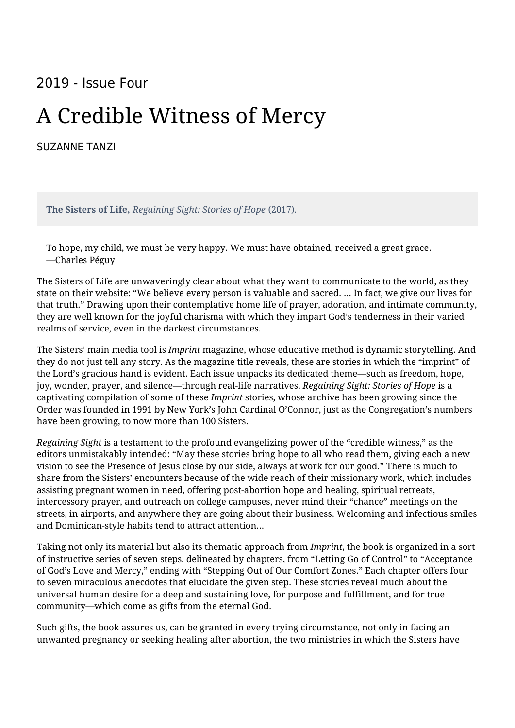## 2019 - Issue Four

## A Credible Witness of Mercy

[SUZANNE TANZI](https://humanumreview.com/contributors/suzanne-tanzi)

**The Sisters of Life**, *Regaining Sight: Stories of Hope* (2017).

To hope, my child, we must be very happy. We must have obtained, received a great grace. —Charles Péguy

The Sisters of Life are unwaveringly clear about what they want to communicate to the world, as they state on their website: "We believe every person is valuable and sacred. ... In fact, we give our lives for that truth." Drawing upon their contemplative home life of prayer, adoration, and intimate community, they are well known for the joyful charisma with which they impart God's tenderness in their varied realms of service, even in the darkest circumstances.

The Sisters' main media tool is *Imprint* magazine, whose educative method is dynamic storytelling. And they do not just tell any story. As the magazine title reveals, these are stories in which the "imprint" of the Lord's gracious hand is evident. Each issue unpacks its dedicated theme—such as freedom, hope, joy, wonder, prayer, and silence—through real-life narratives. *Regaining Sight: Stories of Hope* is a captivating compilation of some of these *Imprint* stories, whose archive has been growing since the Order was founded in 1991 by New York's John Cardinal O'Connor, just as the Congregation's numbers have been growing, to now more than 100 Sisters.

*Regaining Sight* is a testament to the profound evangelizing power of the "credible witness," as the editors unmistakably intended: "May these stories bring hope to all who read them, giving each a new vision to see the Presence of Jesus close by our side, always at work for our good." There is much to share from the Sisters' encounters because of the wide reach of their missionary work, which includes assisting pregnant women in need, offering post-abortion hope and healing, spiritual retreats, intercessory prayer, and outreach on college campuses, never mind their "chance" meetings on the streets, in airports, and anywhere they are going about their business. Welcoming and infectious smiles and Dominican-style habits tend to attract attention...

Taking not only its material but also its thematic approach from *Imprint*, the book is organized in a sort of instructive series of seven steps, delineated by chapters, from "Letting Go of Control" to "Acceptance of God's Love and Mercy," ending with "Stepping Out of Our Comfort Zones." Each chapter offers four to seven miraculous anecdotes that elucidate the given step. These stories reveal much about the universal human desire for a deep and sustaining love, for purpose and fulfillment, and for true community—which come as gifts from the eternal God.

Such gifts, the book assures us, can be granted in every trying circumstance, not only in facing an unwanted pregnancy or seeking healing after abortion, the two ministries in which the Sisters have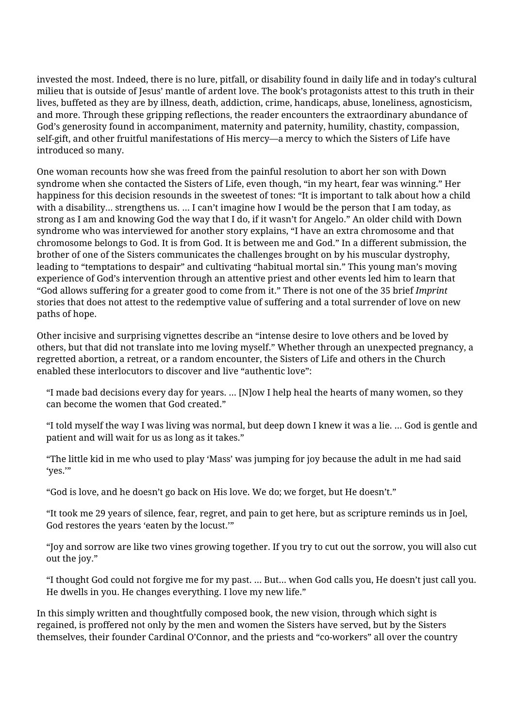invested the most. Indeed, there is no lure, pitfall, or disability found in daily life and in today's cultural milieu that is outside of Jesus' mantle of ardent love. The book's protagonists attest to this truth in their lives, buffeted as they are by illness, death, addiction, crime, handicaps, abuse, loneliness, agnosticism, and more. Through these gripping reflections, the reader encounters the extraordinary abundance of God's generosity found in accompaniment, maternity and paternity, humility, chastity, compassion, self-gift, and other fruitful manifestations of His mercy—a mercy to which the Sisters of Life have introduced so many.

One woman recounts how she was freed from the painful resolution to abort her son with Down syndrome when she contacted the Sisters of Life, even though, "in my heart, fear was winning." Her happiness for this decision resounds in the sweetest of tones: "It is important to talk about how a child with a disability... strengthens us. … I can't imagine how I would be the person that I am today, as strong as I am and knowing God the way that I do, if it wasn't for Angelo." An older child with Down syndrome who was interviewed for another story explains, "I have an extra chromosome and that chromosome belongs to God. It is from God. It is between me and God." In a different submission, the brother of one of the Sisters communicates the challenges brought on by his muscular dystrophy, leading to "temptations to despair" and cultivating "habitual mortal sin." This young man's moving experience of God's intervention through an attentive priest and other events led him to learn that "God allows suffering for a greater good to come from it." There is not one of the 35 brief *Imprint* stories that does not attest to the redemptive value of suffering and a total surrender of love on new paths of hope.

Other incisive and surprising vignettes describe an "intense desire to love others and be loved by others, but that did not translate into me loving myself." Whether through an unexpected pregnancy, a regretted abortion, a retreat, or a random encounter, the Sisters of Life and others in the Church enabled these interlocutors to discover and live "authentic love":

"I made bad decisions every day for years. … [N]ow I help heal the hearts of many women, so they can become the women that God created."

"I told myself the way I was living was normal, but deep down I knew it was a lie. … God is gentle and patient and will wait for us as long as it takes."

"The little kid in me who used to play 'Mass' was jumping for joy because the adult in me had said 'yes.'"

"God is love, and he doesn't go back on His love. We do; we forget, but He doesn't."

"It took me 29 years of silence, fear, regret, and pain to get here, but as scripture reminds us in Joel, God restores the years 'eaten by the locust.'"

"Joy and sorrow are like two vines growing together. If you try to cut out the sorrow, you will also cut out the joy."

"I thought God could not forgive me for my past. … But... when God calls you, He doesn't just call you. He dwells in you. He changes everything. I love my new life."

In this simply written and thoughtfully composed book, the new vision, through which sight is regained, is proffered not only by the men and women the Sisters have served, but by the Sisters themselves, their founder Cardinal O'Connor, and the priests and "co-workers" all over the country